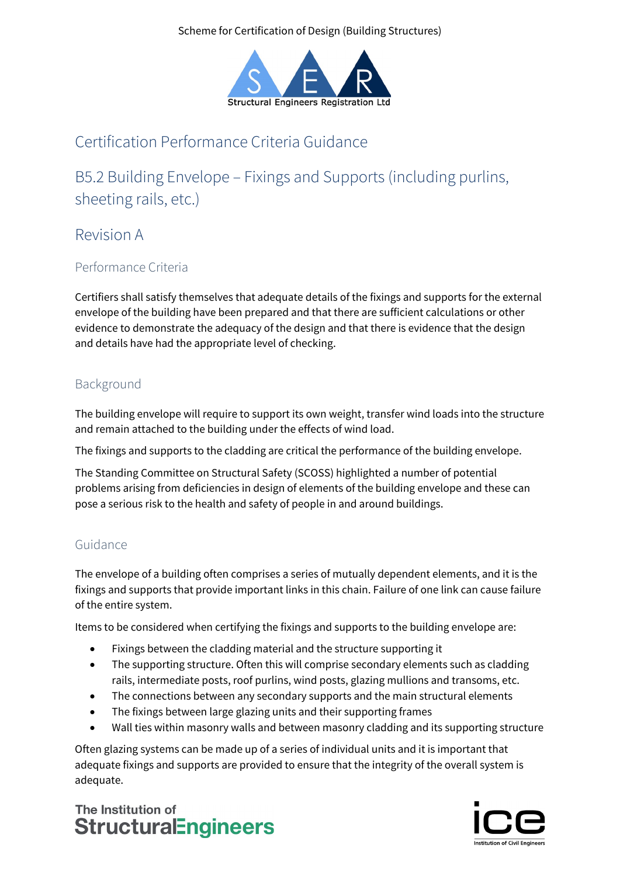

# Certification Performance Criteria Guidance

B5.2 Building Envelope – Fixings and Supports (including purlins, sheeting rails, etc.)

Revision A

# Performance Criteria

Certifiers shall satisfy themselves that adequate details of the fixings and supports for the external envelope of the building have been prepared and that there are sufficient calculations or other evidence to demonstrate the adequacy of the design and that there is evidence that the design and details have had the appropriate level of checking.

# Background

The building envelope will require to support its own weight, transfer wind loads into the structure and remain attached to the building under the effects of wind load.

The fixings and supports to the cladding are critical the performance of the building envelope.

The Standing Committee on Structural Safety (SCOSS) highlighted a number of potential problems arising from deficiencies in design of elements of the building envelope and these can pose a serious risk to the health and safety of people in and around buildings.

# Guidance

The envelope of a building often comprises a series of mutually dependent elements, and it is the fixings and supports that provide important links in this chain. Failure of one link can cause failure of the entire system.

Items to be considered when certifying the fixings and supports to the building envelope are:

- Fixings between the cladding material and the structure supporting it
- The supporting structure. Often this will comprise secondary elements such as cladding rails, intermediate posts, roof purlins, wind posts, glazing mullions and transoms, etc.
- The connections between any secondary supports and the main structural elements
- The fixings between large glazing units and their supporting frames
- Wall ties within masonry walls and between masonry cladding and its supporting structure

Often glazing systems can be made up of a series of individual units and it is important that adequate fixings and supports are provided to ensure that the integrity of the overall system is adequate.

The Institution of **StructuralEngineers**